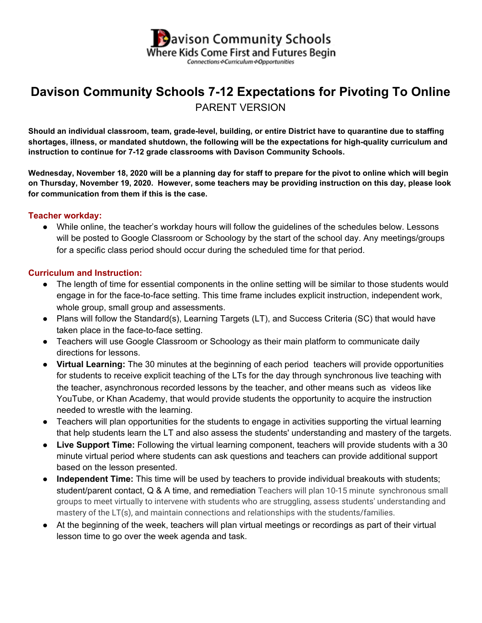

# **Davison Community Schools 7-12 Expectations for Pivoting To Online** PARENT VERSION

Should an individual classroom, team, grade-level, building, or entire District have to quarantine due to staffing **shortages, illness, or mandated shutdown, the following will be the expectations for high-quality curriculum and instruction to continue for 7-12 grade classrooms with Davison Community Schools.**

Wednesday, November 18, 2020 will be a planning day for staff to prepare for the pivot to online which will begin on Thursday, November 19, 2020. However, some teachers may be providing instruction on this day, please look **for communication from them if this is the case.**

#### **Teacher workday:**

● While online, the teacher's workday hours will follow the guidelines of the schedules below. Lessons will be posted to Google Classroom or Schoology by the start of the school day. Any meetings/groups for a specific class period should occur during the scheduled time for that period.

#### **Curriculum and Instruction:**

- The length of time for essential components in the online setting will be similar to those students would engage in for the face-to-face setting. This time frame includes explicit instruction, independent work, whole group, small group and assessments.
- Plans will follow the Standard(s), Learning Targets (LT), and Success Criteria (SC) that would have taken place in the face-to-face setting.
- Teachers will use Google Classroom or Schoology as their main platform to communicate daily directions for lessons.
- **Virtual Learning:** The 30 minutes at the beginning of each period teachers will provide opportunities for students to receive explicit teaching of the LTs for the day through synchronous live teaching with the teacher, asynchronous recorded lessons by the teacher, and other means such as videos like YouTube, or Khan Academy, that would provide students the opportunity to acquire the instruction needed to wrestle with the learning.
- Teachers will plan opportunities for the students to engage in activities supporting the virtual learning that help students learn the LT and also assess the students' understanding and mastery of the targets.
- **Live Support Time:** Following the virtual learning component, teachers will provide students with a 30 minute virtual period where students can ask questions and teachers can provide additional support based on the lesson presented.
- **Independent Time:** This time will be used by teachers to provide individual breakouts with students; student/parent contact, Q & A time, and remediation Teachers will plan 10-15 minute synchronous small groups to meet virtually to intervene with students who are struggling, assess students' understanding and mastery of the LT(s), and maintain connections and relationships with the students/families.
- At the beginning of the week, teachers will plan virtual meetings or recordings as part of their virtual lesson time to go over the week agenda and task.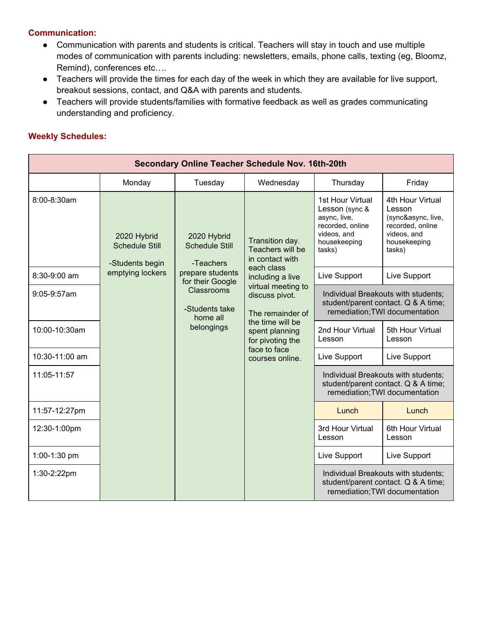## **Communication:**

- Communication with parents and students is critical. Teachers will stay in touch and use multiple modes of communication with parents including: newsletters, emails, phone calls, texting (eg, Bloomz, Remind), conferences etc….
- Teachers will provide the times for each day of the week in which they are available for live support, breakout sessions, contact, and Q&A with parents and students.
- Teachers will provide students/families with formative feedback as well as grades communicating understanding and proficiency.

### **Weekly Schedules:**

| <b>Secondary Online Teacher Schedule Nov. 16th-20th</b> |                                                         |                                                                                                                                                                                                                                                                                                                                                                        |                                                        |                                                                                                              |                                                                                                               |  |
|---------------------------------------------------------|---------------------------------------------------------|------------------------------------------------------------------------------------------------------------------------------------------------------------------------------------------------------------------------------------------------------------------------------------------------------------------------------------------------------------------------|--------------------------------------------------------|--------------------------------------------------------------------------------------------------------------|---------------------------------------------------------------------------------------------------------------|--|
|                                                         | Monday                                                  | Tuesday                                                                                                                                                                                                                                                                                                                                                                | Wednesday                                              | Thursday                                                                                                     | Friday                                                                                                        |  |
| 8:00-8:30am                                             | 2020 Hybrid<br><b>Schedule Still</b><br>-Students begin | async, live,<br>videos, and<br>2020 Hybrid<br>Transition day.<br>housekeeping<br><b>Schedule Still</b><br>Teachers will be<br>tasks)<br>in contact with<br>-Teachers<br>each class<br>prepare students<br>Live Support<br>including a live<br>for their Google<br>virtual meeting to<br>Classrooms<br>discuss pivot.<br>-Students take<br>The remainder of<br>home all |                                                        | 1st Hour Virtual<br>Lesson (sync &<br>recorded, online                                                       | 4th Hour Virtual<br>Lesson<br>(sync&async, live,<br>recorded, online<br>videos, and<br>housekeeping<br>tasks) |  |
| 8:30-9:00 am                                            | emptying lockers                                        |                                                                                                                                                                                                                                                                                                                                                                        |                                                        | Live Support                                                                                                 |                                                                                                               |  |
| $9:05-9:57am$                                           |                                                         |                                                                                                                                                                                                                                                                                                                                                                        |                                                        | Individual Breakouts with students;<br>student/parent contact. Q & A time;<br>remediation; TWI documentation |                                                                                                               |  |
| 10:00-10:30am                                           |                                                         | belongings                                                                                                                                                                                                                                                                                                                                                             | the time will be<br>spent planning<br>for pivoting the | 2nd Hour Virtual<br>Lesson                                                                                   | 5th Hour Virtual<br>Lesson                                                                                    |  |
| 10:30-11:00 am                                          |                                                         | face to face<br>Live Support<br>courses online.<br>Lunch<br>Lesson                                                                                                                                                                                                                                                                                                     |                                                        | Live Support                                                                                                 |                                                                                                               |  |
| 11:05-11:57                                             |                                                         |                                                                                                                                                                                                                                                                                                                                                                        |                                                        | Individual Breakouts with students:<br>student/parent contact. Q & A time;<br>remediation; TWI documentation |                                                                                                               |  |
| 11:57-12:27pm                                           |                                                         |                                                                                                                                                                                                                                                                                                                                                                        |                                                        |                                                                                                              | Lunch                                                                                                         |  |
| 12:30-1:00pm                                            |                                                         |                                                                                                                                                                                                                                                                                                                                                                        |                                                        | 3rd Hour Virtual                                                                                             | 6th Hour Virtual<br>Lesson                                                                                    |  |
| 1:00-1:30 pm                                            |                                                         |                                                                                                                                                                                                                                                                                                                                                                        |                                                        | Live Support                                                                                                 | Live Support                                                                                                  |  |
| 1:30-2:22pm                                             |                                                         |                                                                                                                                                                                                                                                                                                                                                                        |                                                        | Individual Breakouts with students;<br>student/parent contact. Q & A time;<br>remediation; TWI documentation |                                                                                                               |  |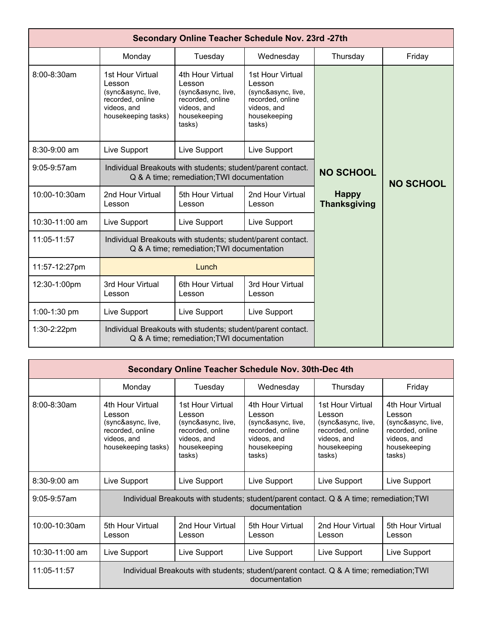| Secondary Online Teacher Schedule Nov. 23rd -27th |                                                                                                            |                                                                                                               |                                                                                                               |                                     |                  |  |
|---------------------------------------------------|------------------------------------------------------------------------------------------------------------|---------------------------------------------------------------------------------------------------------------|---------------------------------------------------------------------------------------------------------------|-------------------------------------|------------------|--|
|                                                   | Monday                                                                                                     | Tuesday                                                                                                       | Wednesday                                                                                                     | Thursday                            | Friday           |  |
| $8:00 - 8:30$ am                                  | 1st Hour Virtual<br>Lesson<br>(sync&async, live,<br>recorded, online<br>videos, and<br>housekeeping tasks) | 4th Hour Virtual<br>Lesson<br>(sync&async, live,<br>recorded, online<br>videos, and<br>housekeeping<br>tasks) | 1st Hour Virtual<br>Lesson<br>(sync&async, live,<br>recorded, online<br>videos, and<br>housekeeping<br>tasks) |                                     |                  |  |
| 8:30-9:00 am                                      | Live Support                                                                                               | Live Support                                                                                                  | Live Support                                                                                                  |                                     |                  |  |
| $9:05-9:57am$                                     | Individual Breakouts with students; student/parent contact.<br>Q & A time; remediation; TWI documentation  |                                                                                                               |                                                                                                               | <b>NO SCHOOL</b>                    | <b>NO SCHOOL</b> |  |
| 10:00-10:30am                                     | 2nd Hour Virtual<br>Lesson                                                                                 | 5th Hour Virtual<br>Lesson                                                                                    | 2nd Hour Virtual<br>Lesson                                                                                    | <b>Happy</b><br><b>Thanksgiving</b> |                  |  |
| 10:30-11:00 am                                    | Live Support                                                                                               | Live Support                                                                                                  | Live Support                                                                                                  |                                     |                  |  |
| 11:05-11:57                                       | Individual Breakouts with students; student/parent contact.<br>Q & A time; remediation; TWI documentation  |                                                                                                               |                                                                                                               |                                     |                  |  |
| 11:57-12:27pm                                     | Lunch                                                                                                      |                                                                                                               |                                                                                                               |                                     |                  |  |
| 12:30-1:00pm                                      | 3rd Hour Virtual<br>Lesson                                                                                 | 6th Hour Virtual<br>Lesson                                                                                    | 3rd Hour Virtual<br>Lesson                                                                                    |                                     |                  |  |
| 1:00-1:30 pm                                      | Live Support                                                                                               | Live Support                                                                                                  | Live Support                                                                                                  |                                     |                  |  |
| 1:30-2:22pm                                       | Individual Breakouts with students; student/parent contact.<br>Q & A time; remediation; TWI documentation  |                                                                                                               |                                                                                                               |                                     |                  |  |

| <b>Secondary Online Teacher Schedule Nov. 30th-Dec 4th</b> |                                                                                                            |                                                                                                               |                                                                                                               |                                                                                                               |                                                                                                               |  |
|------------------------------------------------------------|------------------------------------------------------------------------------------------------------------|---------------------------------------------------------------------------------------------------------------|---------------------------------------------------------------------------------------------------------------|---------------------------------------------------------------------------------------------------------------|---------------------------------------------------------------------------------------------------------------|--|
|                                                            | Monday                                                                                                     | Tuesday                                                                                                       | Wednesday                                                                                                     | Thursday                                                                                                      | Friday                                                                                                        |  |
| 8:00-8:30am                                                | 4th Hour Virtual<br>Lesson<br>(sync&async, live,<br>recorded, online<br>videos, and<br>housekeeping tasks) | 1st Hour Virtual<br>Lesson<br>(sync&async, live,<br>recorded, online<br>videos, and<br>housekeeping<br>tasks) | 4th Hour Virtual<br>Lesson<br>(sync&async, live,<br>recorded, online<br>videos, and<br>housekeeping<br>tasks) | 1st Hour Virtual<br>Lesson<br>(sync&async, live,<br>recorded, online<br>videos, and<br>housekeeping<br>tasks) | 4th Hour Virtual<br>Lesson<br>(sync&async, live,<br>recorded, online<br>videos, and<br>housekeeping<br>tasks) |  |
| $8:30-9:00$ am                                             | Live Support                                                                                               | Live Support                                                                                                  | Live Support                                                                                                  | Live Support                                                                                                  | Live Support                                                                                                  |  |
| $9:05-9:57am$                                              | Individual Breakouts with students; student/parent contact. Q & A time; remediation; TWI<br>documentation  |                                                                                                               |                                                                                                               |                                                                                                               |                                                                                                               |  |
| 10:00-10:30am                                              | 5th Hour Virtual<br>Lesson                                                                                 | 2nd Hour Virtual<br>Lesson                                                                                    | 5th Hour Virtual<br>Lesson                                                                                    | 2nd Hour Virtual<br>Lesson                                                                                    | 5th Hour Virtual<br>Lesson                                                                                    |  |
| 10:30-11:00 am                                             | Live Support                                                                                               | Live Support                                                                                                  | Live Support                                                                                                  | Live Support                                                                                                  | Live Support                                                                                                  |  |
| 11:05-11:57                                                | Individual Breakouts with students; student/parent contact. Q & A time; remediation; TWI<br>documentation  |                                                                                                               |                                                                                                               |                                                                                                               |                                                                                                               |  |